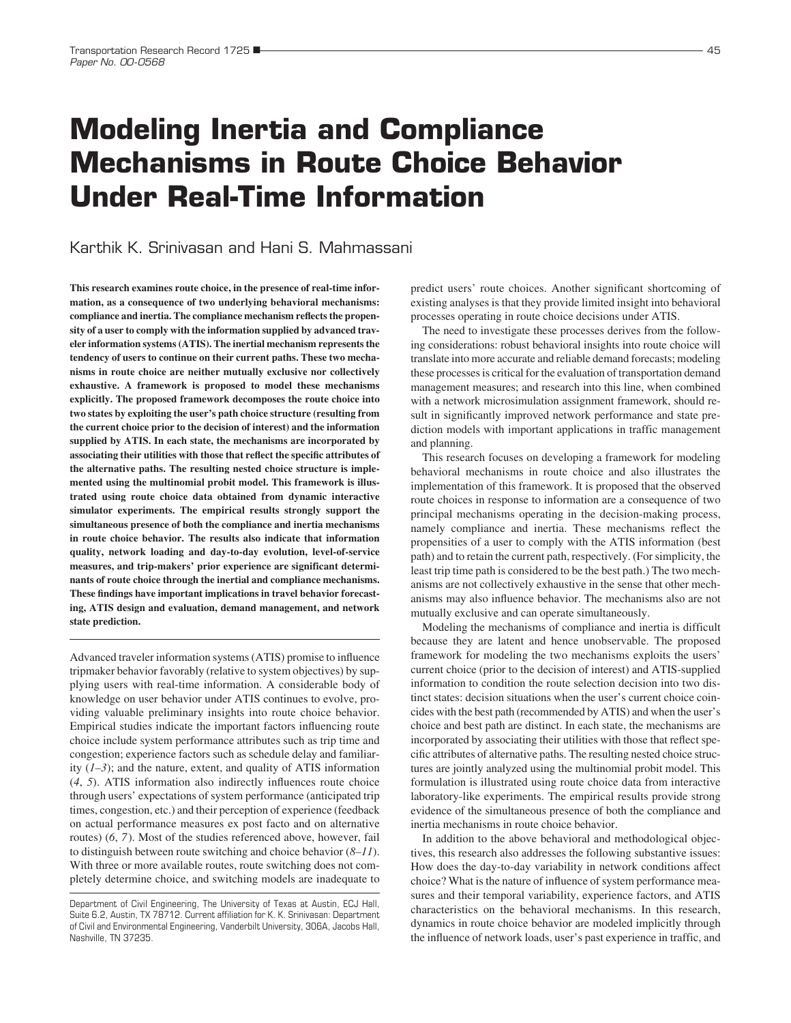# **Modeling Inertia and Compliance Mechanisms in Route Choice Behavior Under Real-Time Information**

# Karthik K. Srinivasan and Hani S. Mahmassani

**This research examines route choice, in the presence of real-time information, as a consequence of two underlying behavioral mechanisms: compliance and inertia. The compliance mechanism reflects the propensity of a user to comply with the information supplied by advanced traveler information systems (ATIS). The inertial mechanism represents the tendency of users to continue on their current paths. These two mechanisms in route choice are neither mutually exclusive nor collectively exhaustive. A framework is proposed to model these mechanisms explicitly. The proposed framework decomposes the route choice into two states by exploiting the user's path choice structure (resulting from the current choice prior to the decision of interest) and the information supplied by ATIS. In each state, the mechanisms are incorporated by associating their utilities with those that reflect the specific attributes of the alternative paths. The resulting nested choice structure is implemented using the multinomial probit model. This framework is illustrated using route choice data obtained from dynamic interactive simulator experiments. The empirical results strongly support the simultaneous presence of both the compliance and inertia mechanisms in route choice behavior. The results also indicate that information quality, network loading and day-to-day evolution, level-of-service measures, and trip-makers' prior experience are significant determinants of route choice through the inertial and compliance mechanisms. These findings have important implications in travel behavior forecasting, ATIS design and evaluation, demand management, and network state prediction.**

Advanced traveler information systems (ATIS) promise to influence tripmaker behavior favorably (relative to system objectives) by supplying users with real-time information. A considerable body of knowledge on user behavior under ATIS continues to evolve, providing valuable preliminary insights into route choice behavior. Empirical studies indicate the important factors influencing route choice include system performance attributes such as trip time and congestion; experience factors such as schedule delay and familiarity (*1*–*3*); and the nature, extent, and quality of ATIS information (*4*, *5*). ATIS information also indirectly influences route choice through users' expectations of system performance (anticipated trip times, congestion, etc.) and their perception of experience (feedback on actual performance measures ex post facto and on alternative routes) (*6*, *7*). Most of the studies referenced above, however, fail to distinguish between route switching and choice behavior (*8*–*11*). With three or more available routes, route switching does not completely determine choice, and switching models are inadequate to

predict users' route choices. Another significant shortcoming of existing analyses is that they provide limited insight into behavioral processes operating in route choice decisions under ATIS.

The need to investigate these processes derives from the following considerations: robust behavioral insights into route choice will translate into more accurate and reliable demand forecasts; modeling these processes is critical for the evaluation of transportation demand management measures; and research into this line, when combined with a network microsimulation assignment framework, should result in significantly improved network performance and state prediction models with important applications in traffic management and planning.

This research focuses on developing a framework for modeling behavioral mechanisms in route choice and also illustrates the implementation of this framework. It is proposed that the observed route choices in response to information are a consequence of two principal mechanisms operating in the decision-making process, namely compliance and inertia. These mechanisms reflect the propensities of a user to comply with the ATIS information (best path) and to retain the current path, respectively. (For simplicity, the least trip time path is considered to be the best path.) The two mechanisms are not collectively exhaustive in the sense that other mechanisms may also influence behavior. The mechanisms also are not mutually exclusive and can operate simultaneously.

Modeling the mechanisms of compliance and inertia is difficult because they are latent and hence unobservable. The proposed framework for modeling the two mechanisms exploits the users' current choice (prior to the decision of interest) and ATIS-supplied information to condition the route selection decision into two distinct states: decision situations when the user's current choice coincides with the best path (recommended by ATIS) and when the user's choice and best path are distinct. In each state, the mechanisms are incorporated by associating their utilities with those that reflect specific attributes of alternative paths. The resulting nested choice structures are jointly analyzed using the multinomial probit model. This formulation is illustrated using route choice data from interactive laboratory-like experiments. The empirical results provide strong evidence of the simultaneous presence of both the compliance and inertia mechanisms in route choice behavior.

In addition to the above behavioral and methodological objectives, this research also addresses the following substantive issues: How does the day-to-day variability in network conditions affect choice? What is the nature of influence of system performance measures and their temporal variability, experience factors, and ATIS characteristics on the behavioral mechanisms. In this research, dynamics in route choice behavior are modeled implicitly through the influence of network loads, user's past experience in traffic, and

Department of Civil Engineering, The University of Texas at Austin, ECJ Hall, Suite 6.2, Austin, TX 78712. Current affiliation for K. K. Srinivasan: Department of Civil and Environmental Engineering, Vanderbilt University, 306A, Jacobs Hall, Nashville, TN 37235.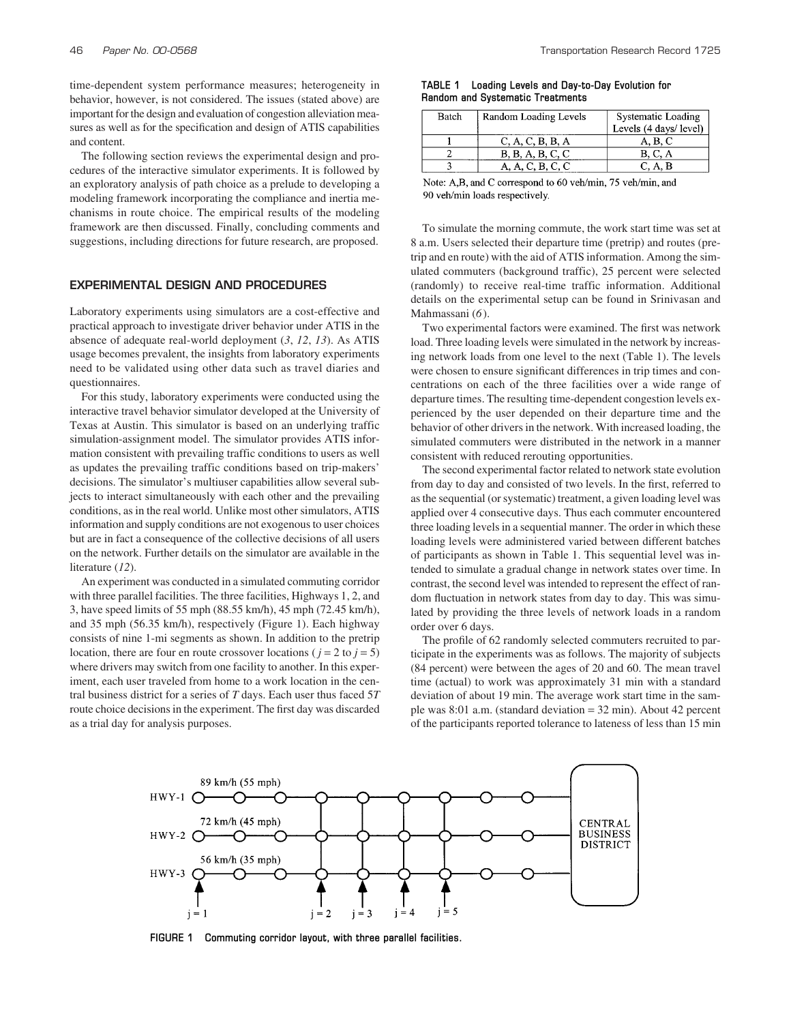time-dependent system performance measures; heterogeneity in behavior, however, is not considered. The issues (stated above) are important for the design and evaluation of congestion alleviation measures as well as for the specification and design of ATIS capabilities and content.

The following section reviews the experimental design and procedures of the interactive simulator experiments. It is followed by an exploratory analysis of path choice as a prelude to developing a modeling framework incorporating the compliance and inertia mechanisms in route choice. The empirical results of the modeling framework are then discussed. Finally, concluding comments and suggestions, including directions for future research, are proposed.

## EXPERIMENTAL DESIGN AND PROCEDURES

Laboratory experiments using simulators are a cost-effective and practical approach to investigate driver behavior under ATIS in the absence of adequate real-world deployment (*3*, *12*, *13*). As ATIS usage becomes prevalent, the insights from laboratory experiments need to be validated using other data such as travel diaries and questionnaires.

For this study, laboratory experiments were conducted using the interactive travel behavior simulator developed at the University of Texas at Austin. This simulator is based on an underlying traffic simulation-assignment model. The simulator provides ATIS information consistent with prevailing traffic conditions to users as well as updates the prevailing traffic conditions based on trip-makers' decisions. The simulator's multiuser capabilities allow several subjects to interact simultaneously with each other and the prevailing conditions, as in the real world. Unlike most other simulators, ATIS information and supply conditions are not exogenous to user choices but are in fact a consequence of the collective decisions of all users on the network. Further details on the simulator are available in the literature (*12*).

An experiment was conducted in a simulated commuting corridor with three parallel facilities. The three facilities, Highways 1, 2, and 3, have speed limits of 55 mph (88.55 km/h), 45 mph (72.45 km/h), and 35 mph (56.35 km/h), respectively (Figure 1). Each highway consists of nine 1-mi segments as shown. In addition to the pretrip location, there are four en route crossover locations ( $j = 2$  to  $j = 5$ ) where drivers may switch from one facility to another. In this experiment, each user traveled from home to a work location in the central business district for a series of *T* days. Each user thus faced 5*T* route choice decisions in the experiment. The first day was discarded as a trial day for analysis purposes.

|                                  | TABLE 1 Loading Levels and Day-to-Day Evolution for |  |  |  |
|----------------------------------|-----------------------------------------------------|--|--|--|
| Random and Systematic Treatments |                                                     |  |  |  |

| Batch | Random Loading Levels | <b>Systematic Loading</b> |
|-------|-----------------------|---------------------------|
|       |                       | Levels (4 days/level)     |
|       | C, A, C, B, B, A      | A, B, C                   |
|       | B, B, A, B, C, C      | <b>B</b> , C, A           |
|       | A, A, C, B, C, C      | С. А. В                   |

Note: A,B, and C correspond to 60 veh/min, 75 veh/min, and 90 veh/min loads respectively.

To simulate the morning commute, the work start time was set at 8 a.m. Users selected their departure time (pretrip) and routes (pretrip and en route) with the aid of ATIS information. Among the simulated commuters (background traffic), 25 percent were selected (randomly) to receive real-time traffic information. Additional details on the experimental setup can be found in Srinivasan and Mahmassani (*6*).

Two experimental factors were examined. The first was network load. Three loading levels were simulated in the network by increasing network loads from one level to the next (Table 1). The levels were chosen to ensure significant differences in trip times and concentrations on each of the three facilities over a wide range of departure times. The resulting time-dependent congestion levels experienced by the user depended on their departure time and the behavior of other drivers in the network. With increased loading, the simulated commuters were distributed in the network in a manner consistent with reduced rerouting opportunities.

The second experimental factor related to network state evolution from day to day and consisted of two levels. In the first, referred to as the sequential (or systematic) treatment, a given loading level was applied over 4 consecutive days. Thus each commuter encountered three loading levels in a sequential manner. The order in which these loading levels were administered varied between different batches of participants as shown in Table 1. This sequential level was intended to simulate a gradual change in network states over time. In contrast, the second level was intended to represent the effect of random fluctuation in network states from day to day. This was simulated by providing the three levels of network loads in a random order over 6 days.

The profile of 62 randomly selected commuters recruited to participate in the experiments was as follows. The majority of subjects (84 percent) were between the ages of 20 and 60. The mean travel time (actual) to work was approximately 31 min with a standard deviation of about 19 min. The average work start time in the sample was 8:01 a.m. (standard deviation = 32 min). About 42 percent of the participants reported tolerance to lateness of less than 15 min



**FIGURE 1 Commuting corridor layout, with three parallel facilities.**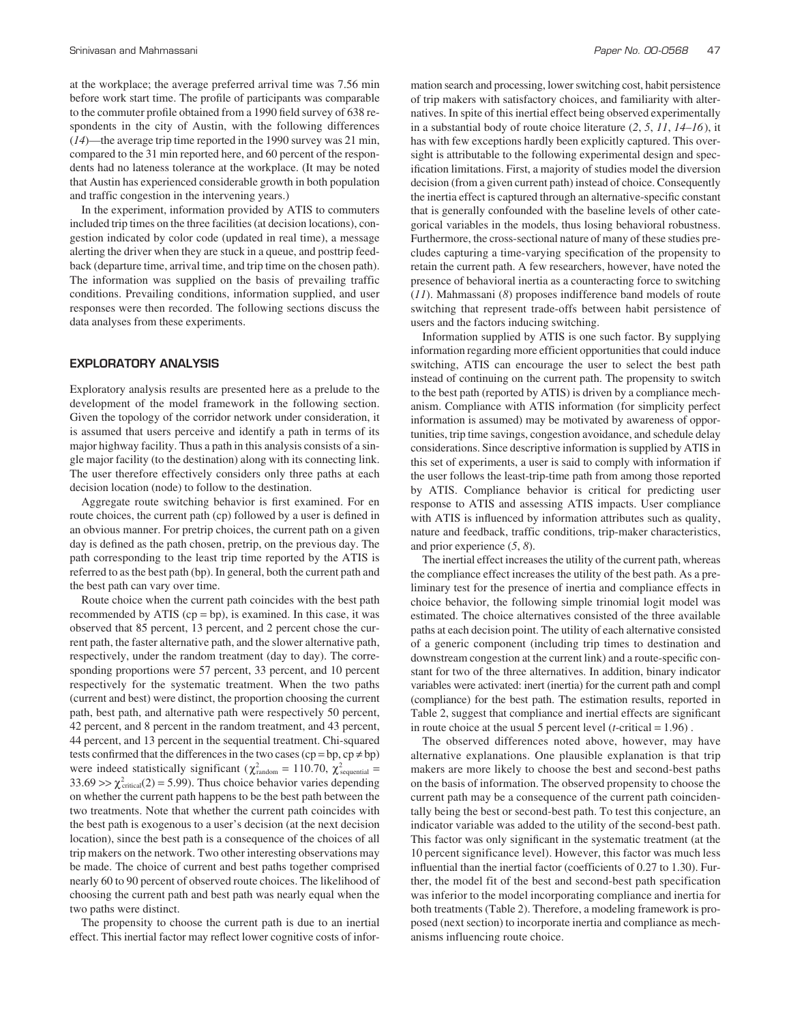at the workplace; the average preferred arrival time was 7.56 min before work start time. The profile of participants was comparable to the commuter profile obtained from a 1990 field survey of 638 respondents in the city of Austin, with the following differences (*14*)—the average trip time reported in the 1990 survey was 21 min, compared to the 31 min reported here, and 60 percent of the respondents had no lateness tolerance at the workplace. (It may be noted that Austin has experienced considerable growth in both population and traffic congestion in the intervening years.)

In the experiment, information provided by ATIS to commuters included trip times on the three facilities (at decision locations), congestion indicated by color code (updated in real time), a message alerting the driver when they are stuck in a queue, and posttrip feedback (departure time, arrival time, and trip time on the chosen path). The information was supplied on the basis of prevailing traffic conditions. Prevailing conditions, information supplied, and user responses were then recorded. The following sections discuss the data analyses from these experiments.

# EXPLORATORY ANALYSIS

Exploratory analysis results are presented here as a prelude to the development of the model framework in the following section. Given the topology of the corridor network under consideration, it is assumed that users perceive and identify a path in terms of its major highway facility. Thus a path in this analysis consists of a single major facility (to the destination) along with its connecting link. The user therefore effectively considers only three paths at each decision location (node) to follow to the destination.

Aggregate route switching behavior is first examined. For en route choices, the current path (cp) followed by a user is defined in an obvious manner. For pretrip choices, the current path on a given day is defined as the path chosen, pretrip, on the previous day. The path corresponding to the least trip time reported by the ATIS is referred to as the best path (bp). In general, both the current path and the best path can vary over time.

Route choice when the current path coincides with the best path recommended by ATIS ( $cp = bp$ ), is examined. In this case, it was observed that 85 percent, 13 percent, and 2 percent chose the current path, the faster alternative path, and the slower alternative path, respectively, under the random treatment (day to day). The corresponding proportions were 57 percent, 33 percent, and 10 percent respectively for the systematic treatment. When the two paths (current and best) were distinct, the proportion choosing the current path, best path, and alternative path were respectively 50 percent, 42 percent, and 8 percent in the random treatment, and 43 percent, 44 percent, and 13 percent in the sequential treatment. Chi-squared tests confirmed that the differences in the two cases (cp = bp, cp  $\neq$  bp) were indeed statistically significant ( $\chi^2_{\text{random}} = 110.70$ ,  $\chi^2_{\text{sequential}} =$  $33.69 >> \chi^2_{critical}(2) = 5.99$ ). Thus choice behavior varies depending on whether the current path happens to be the best path between the two treatments. Note that whether the current path coincides with the best path is exogenous to a user's decision (at the next decision location), since the best path is a consequence of the choices of all trip makers on the network. Two other interesting observations may be made. The choice of current and best paths together comprised nearly 60 to 90 percent of observed route choices. The likelihood of choosing the current path and best path was nearly equal when the two paths were distinct.

The propensity to choose the current path is due to an inertial effect. This inertial factor may reflect lower cognitive costs of information search and processing, lower switching cost, habit persistence of trip makers with satisfactory choices, and familiarity with alternatives. In spite of this inertial effect being observed experimentally in a substantial body of route choice literature (*2*, *5*, *11*, *14*–*16*), it has with few exceptions hardly been explicitly captured. This oversight is attributable to the following experimental design and specification limitations. First, a majority of studies model the diversion decision (from a given current path) instead of choice. Consequently the inertia effect is captured through an alternative-specific constant that is generally confounded with the baseline levels of other categorical variables in the models, thus losing behavioral robustness. Furthermore, the cross-sectional nature of many of these studies precludes capturing a time-varying specification of the propensity to retain the current path. A few researchers, however, have noted the presence of behavioral inertia as a counteracting force to switching (*11*). Mahmassani (*8*) proposes indifference band models of route switching that represent trade-offs between habit persistence of users and the factors inducing switching.

Information supplied by ATIS is one such factor. By supplying information regarding more efficient opportunities that could induce switching, ATIS can encourage the user to select the best path instead of continuing on the current path. The propensity to switch to the best path (reported by ATIS) is driven by a compliance mechanism. Compliance with ATIS information (for simplicity perfect information is assumed) may be motivated by awareness of opportunities, trip time savings, congestion avoidance, and schedule delay considerations. Since descriptive information is supplied by ATIS in this set of experiments, a user is said to comply with information if the user follows the least-trip-time path from among those reported by ATIS. Compliance behavior is critical for predicting user response to ATIS and assessing ATIS impacts. User compliance with ATIS is influenced by information attributes such as quality, nature and feedback, traffic conditions, trip-maker characteristics, and prior experience (*5*, *8*).

The inertial effect increases the utility of the current path, whereas the compliance effect increases the utility of the best path. As a preliminary test for the presence of inertia and compliance effects in choice behavior, the following simple trinomial logit model was estimated. The choice alternatives consisted of the three available paths at each decision point. The utility of each alternative consisted of a generic component (including trip times to destination and downstream congestion at the current link) and a route-specific constant for two of the three alternatives. In addition, binary indicator variables were activated: inert (inertia) for the current path and compl (compliance) for the best path. The estimation results, reported in Table 2, suggest that compliance and inertial effects are significant in route choice at the usual 5 percent level  $(t\text{-critical} = 1.96)$ .

The observed differences noted above, however, may have alternative explanations. One plausible explanation is that trip makers are more likely to choose the best and second-best paths on the basis of information. The observed propensity to choose the current path may be a consequence of the current path coincidentally being the best or second-best path. To test this conjecture, an indicator variable was added to the utility of the second-best path. This factor was only significant in the systematic treatment (at the 10 percent significance level). However, this factor was much less influential than the inertial factor (coefficients of 0.27 to 1.30). Further, the model fit of the best and second-best path specification was inferior to the model incorporating compliance and inertia for both treatments (Table 2). Therefore, a modeling framework is proposed (next section) to incorporate inertia and compliance as mechanisms influencing route choice.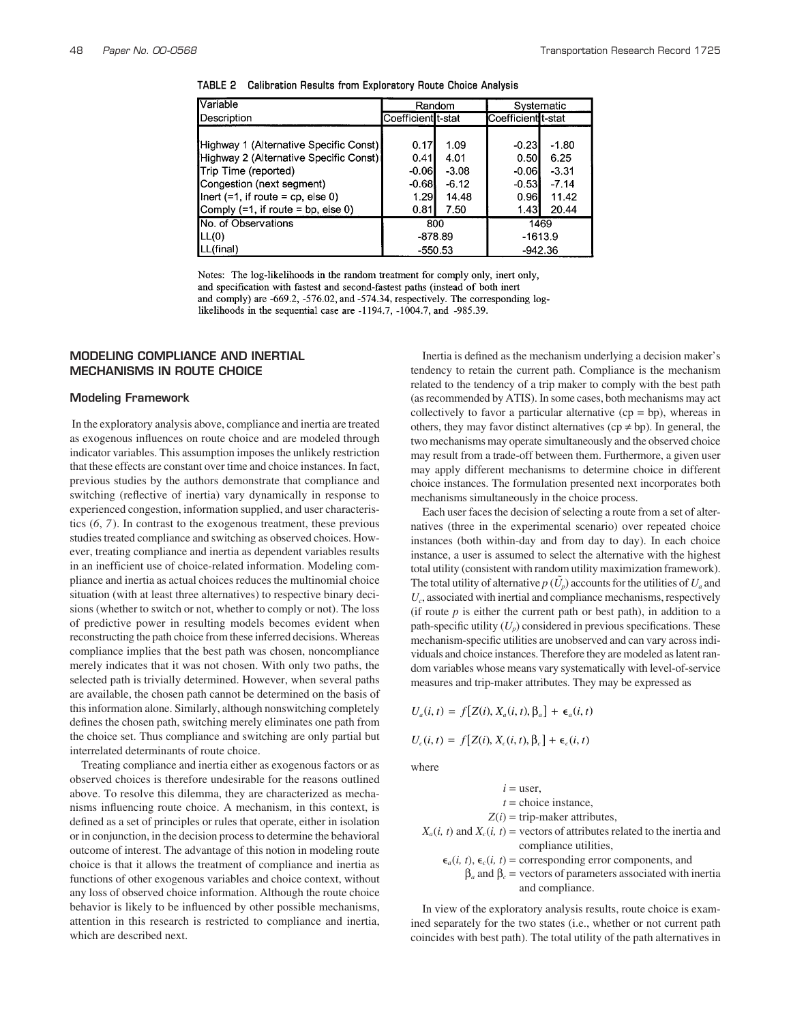| Random                                                                                                   |                                                     | Systematic                              |                                                           |  |
|----------------------------------------------------------------------------------------------------------|-----------------------------------------------------|-----------------------------------------|-----------------------------------------------------------|--|
| Coefficient t-stat                                                                                       |                                                     |                                         |                                                           |  |
| Highway 1 (Alternative Specific Const)<br>0.17<br>Highway 2 (Alternative Specific Const)<br>0.41<br>0.81 | 1.09<br>4.01<br>$-3.08$<br>$-6.12$<br>14.48<br>7.50 | $-0.23$<br>0.50                         | $-1.80$<br>6.25<br>$-3.31$<br>$-7.14$<br>11.42<br>20.44   |  |
| 800<br>$-878.89$                                                                                         |                                                     | 1469<br>$-1613.9$<br>$-942.36$          |                                                           |  |
|                                                                                                          |                                                     | $-0.06$<br>$-0.68$<br>1.29<br>$-550.53$ | Coefficient t-stat<br>$-0.06$<br>$-0.53$<br>0.96<br>1.431 |  |

**TABLE 2 Calibration Results from Exploratory Route Choice Analysis**

Notes: The log-likelihoods in the random treatment for comply only, inert only, and specification with fastest and second-fastest paths (instead of both inert and comply) are -669.2, -576.02, and -574.34, respectively. The corresponding loglikelihoods in the sequential case are -1194.7, -1004.7, and -985.39.

# MODELING COMPLIANCE AND INERTIAL MECHANISMS IN ROUTE CHOICE

#### Modeling Framework

In the exploratory analysis above, compliance and inertia are treated as exogenous influences on route choice and are modeled through indicator variables. This assumption imposes the unlikely restriction that these effects are constant over time and choice instances. In fact, previous studies by the authors demonstrate that compliance and switching (reflective of inertia) vary dynamically in response to experienced congestion, information supplied, and user characteristics (*6*, *7*). In contrast to the exogenous treatment, these previous studies treated compliance and switching as observed choices. However, treating compliance and inertia as dependent variables results in an inefficient use of choice-related information. Modeling compliance and inertia as actual choices reduces the multinomial choice situation (with at least three alternatives) to respective binary decisions (whether to switch or not, whether to comply or not). The loss of predictive power in resulting models becomes evident when reconstructing the path choice from these inferred decisions. Whereas compliance implies that the best path was chosen, noncompliance merely indicates that it was not chosen. With only two paths, the selected path is trivially determined. However, when several paths are available, the chosen path cannot be determined on the basis of this information alone. Similarly, although nonswitching completely defines the chosen path, switching merely eliminates one path from the choice set. Thus compliance and switching are only partial but interrelated determinants of route choice.

Treating compliance and inertia either as exogenous factors or as observed choices is therefore undesirable for the reasons outlined above. To resolve this dilemma, they are characterized as mechanisms influencing route choice. A mechanism, in this context, is defined as a set of principles or rules that operate, either in isolation or in conjunction, in the decision process to determine the behavioral outcome of interest. The advantage of this notion in modeling route choice is that it allows the treatment of compliance and inertia as functions of other exogenous variables and choice context, without any loss of observed choice information. Although the route choice behavior is likely to be influenced by other possible mechanisms, attention in this research is restricted to compliance and inertia, which are described next.

Inertia is defined as the mechanism underlying a decision maker's tendency to retain the current path. Compliance is the mechanism related to the tendency of a trip maker to comply with the best path (as recommended by ATIS). In some cases, both mechanisms may act collectively to favor a particular alternative  $(cp = bp)$ , whereas in others, they may favor distinct alternatives (cp  $\neq$  bp). In general, the two mechanisms may operate simultaneously and the observed choice may result from a trade-off between them. Furthermore, a given user may apply different mechanisms to determine choice in different choice instances. The formulation presented next incorporates both mechanisms simultaneously in the choice process.

Each user faces the decision of selecting a route from a set of alternatives (three in the experimental scenario) over repeated choice instances (both within-day and from day to day). In each choice instance, a user is assumed to select the alternative with the highest total utility (consistent with random utility maximization framework). The total utility of alternative  $p(\tilde{U}_p)$  accounts for the utilities of  $U_a$  and *Uc* , associated with inertial and compliance mechanisms, respectively (if route  $p$  is either the current path or best path), in addition to a path-specific utility  $(U_p)$  considered in previous specifications. These mechanism-specific utilities are unobserved and can vary across individuals and choice instances. Therefore they are modeled as latent random variables whose means vary systematically with level-of-service measures and trip-maker attributes. They may be expressed as

$$
U_a(i,t) = f[Z(i), X_a(i,t), \beta_a] + \epsilon_a(i,t)
$$

$$
U_c(i,t) = f[Z(i), X_c(i,t), \beta_c] + \epsilon_c(i,t)
$$

where

 $i =$ user. *t* = choice instance,  $Z(i)$  = trip-maker attributes,  $X_a(i, t)$  and  $X_c(i, t)$  = vectors of attributes related to the inertia and compliance utilities,  $\epsilon_a(i, t)$ ,  $\epsilon_c(i, t)$  = corresponding error components, and  $β<sub>a</sub>$  and  $β<sub>c</sub>$  = vectors of parameters associated with inertia and compliance.

In view of the exploratory analysis results, route choice is examined separately for the two states (i.e., whether or not current path coincides with best path). The total utility of the path alternatives in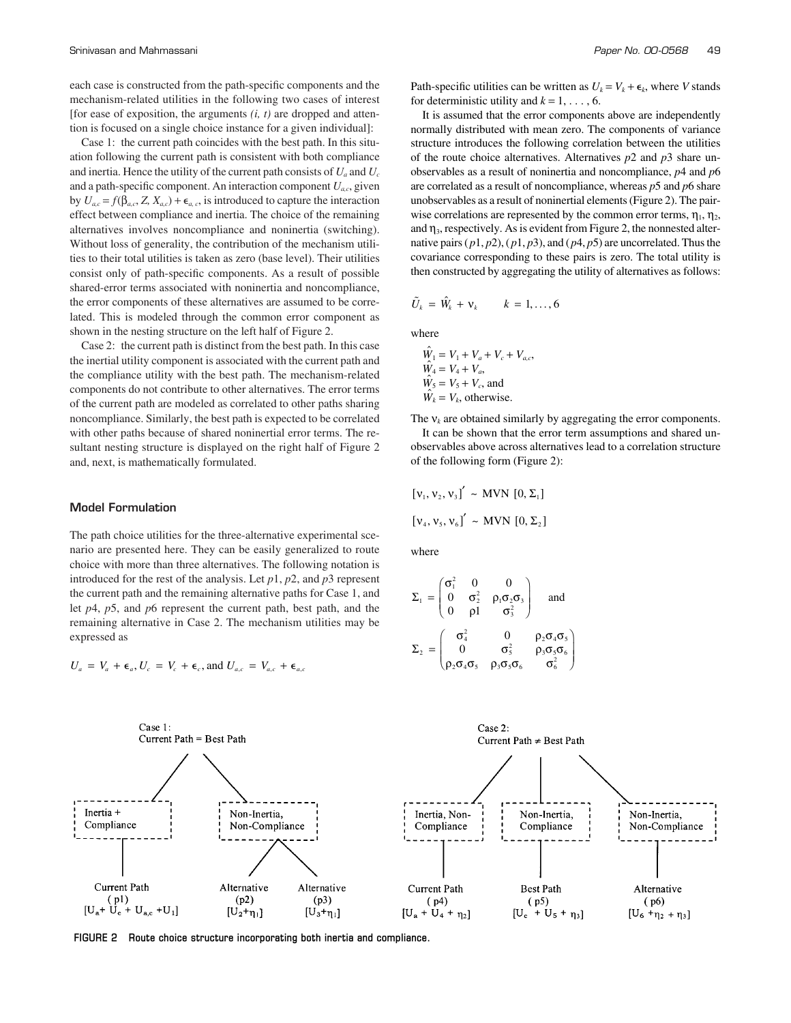each case is constructed from the path-specific components and the mechanism-related utilities in the following two cases of interest [for ease of exposition, the arguments *(i, t)* are dropped and attention is focused on a single choice instance for a given individual]:

Case 1: the current path coincides with the best path. In this situation following the current path is consistent with both compliance and inertia. Hence the utility of the current path consists of  $U_a$  and  $U_c$ and a path-specific component. An interaction component *Ua,c*, given by  $U_{a,c} = f(\beta_{a,c}, Z, X_{a,c}) + \epsilon_{a,c}$ , is introduced to capture the interaction effect between compliance and inertia. The choice of the remaining alternatives involves noncompliance and noninertia (switching). Without loss of generality, the contribution of the mechanism utilities to their total utilities is taken as zero (base level). Their utilities consist only of path-specific components. As a result of possible shared-error terms associated with noninertia and noncompliance, the error components of these alternatives are assumed to be correlated. This is modeled through the common error component as shown in the nesting structure on the left half of Figure 2.

Case 2: the current path is distinct from the best path. In this case the inertial utility component is associated with the current path and the compliance utility with the best path. The mechanism-related components do not contribute to other alternatives. The error terms of the current path are modeled as correlated to other paths sharing noncompliance. Similarly, the best path is expected to be correlated with other paths because of shared noninertial error terms. The resultant nesting structure is displayed on the right half of Figure 2 and, next, is mathematically formulated.

#### Model Formulation

The path choice utilities for the three-alternative experimental scenario are presented here. They can be easily generalized to route choice with more than three alternatives. The following notation is introduced for the rest of the analysis. Let *p*1, *p*2, and *p*3 represent the current path and the remaining alternative paths for Case 1, and let *p*4, *p*5, and *p*6 represent the current path, best path, and the remaining alternative in Case 2. The mechanism utilities may be expressed as

$$
U_a = V_a + \epsilon_a
$$
,  $U_c = V_c + \epsilon_c$ , and  $U_{a,c} = V_{a,c} + \epsilon_{a,c}$ 

Path-specific utilities can be written as  $U_k = V_k + \epsilon_k$ , where *V* stands for deterministic utility and  $k = 1, \ldots, 6$ .

It is assumed that the error components above are independently normally distributed with mean zero. The components of variance structure introduces the following correlation between the utilities of the route choice alternatives. Alternatives *p*2 and *p*3 share unobservables as a result of noninertia and noncompliance, *p*4 and *p*6 are correlated as a result of noncompliance, whereas *p*5 and *p*6 share unobservables as a result of noninertial elements (Figure 2). The pairwise correlations are represented by the common error terms,  $\eta_1$ ,  $\eta_2$ , and  $\eta_3$ , respectively. As is evident from Figure 2, the nonnested alternative pairs (*p*1, *p*2), (*p*1, *p*3), and (*p*4, *p*5) are uncorrelated. Thus the covariance corresponding to these pairs is zero. The total utility is then constructed by aggregating the utility of alternatives as follows:

$$
\tilde{U}_k = \hat{W}_k + \mathbf{v}_k \qquad k = 1, \dots, 6
$$

where

$$
\hat{W}_1 = V_1 + V_a + V_c + V_{a,c},
$$
  
\n
$$
\hat{W}_4 = V_4 + V_a,
$$
  
\n
$$
\hat{W}_5 = V_5 + V_c,
$$
 and  
\n
$$
\hat{W}_k = V_k,
$$
 otherwise.

The  $v_k$  are obtained similarly by aggregating the error components.

It can be shown that the error term assumptions and shared unobservables above across alternatives lead to a correlation structure of the following form (Figure 2):

$$
[v1, v2, v3]' ~ MVN [0, \Sigma1][v4, v5, v6]' ~ MVN [0, \Sigma2]
$$

where

$$
\Sigma_1 = \begin{pmatrix} \sigma_1^2 & 0 & 0 \\ 0 & \sigma_2^2 & \rho_1 \sigma_2 \sigma_3 \\ 0 & \rho 1 & \sigma_3^2 \end{pmatrix} \text{ and }
$$

$$
\Sigma_2 = \begin{pmatrix} \sigma_4^2 & 0 & \rho_2 \sigma_4 \sigma_5 \\ 0 & \sigma_5^2 & \rho_3 \sigma_5 \sigma_6 \\ \rho_2 \sigma_4 \sigma_5 & \rho_3 \sigma_5 \sigma_6 & \sigma_6^2 \end{pmatrix}
$$



**FIGURE 2 Route choice structure incorporating both inertia and compliance.**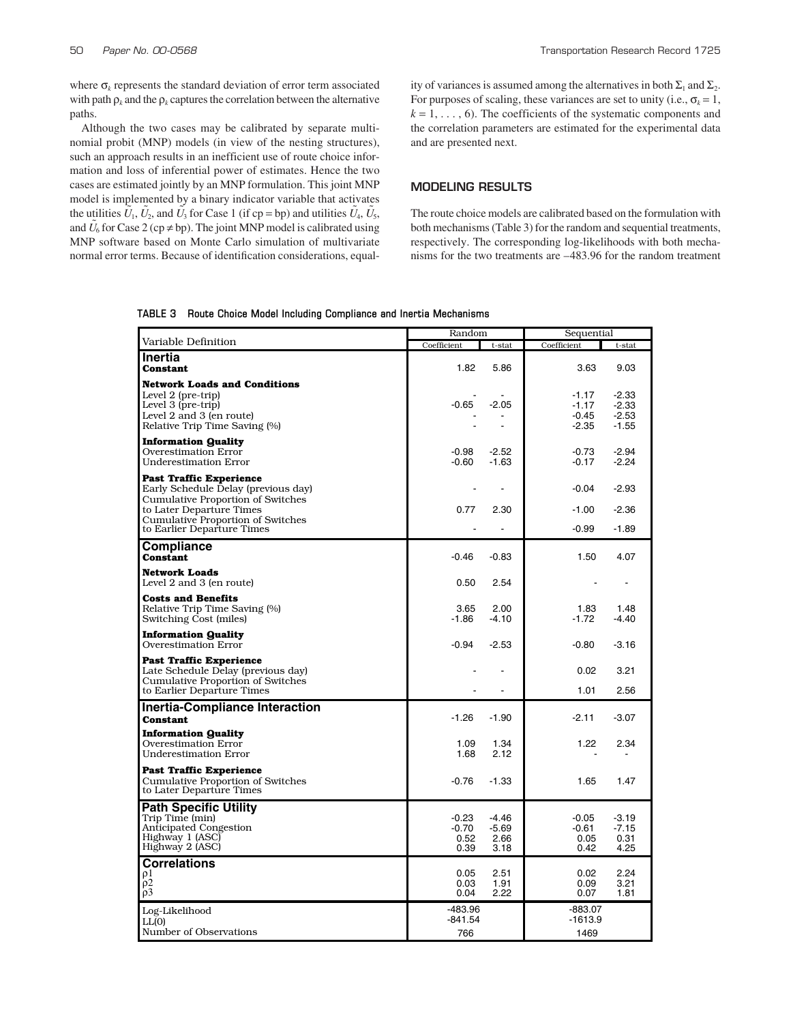where  $\sigma_k$  represents the standard deviation of error term associated with path  $\rho_k$  and the  $\rho_k$  captures the correlation between the alternative paths.

Although the two cases may be calibrated by separate multinomial probit (MNP) models (in view of the nesting structures), such an approach results in an inefficient use of route choice information and loss of inferential power of estimates. Hence the two cases are estimated jointly by an MNP formulation. This joint MNP model is implemented by a binary indicator variable that activates the utilities  $\tilde{U}_1$ ,  $\tilde{U}_2$ , and  $\tilde{U}_3$  for Case 1 (if cp = bp) and utilities  $\tilde{U}_4$ ,  $\tilde{U}_5$ , and  $\tilde{U}_6$  for Case 2 (cp  $\neq$  bp). The joint MNP model is calibrated using MNP software based on Monte Carlo simulation of multivariate normal error terms. Because of identification considerations, equal-

ity of variances is assumed among the alternatives in both  $\Sigma_1$  and  $\Sigma_2$ . For purposes of scaling, these variances are set to unity (i.e.,  $\sigma_k = 1$ ,  $k = 1, \ldots, 6$ ). The coefficients of the systematic components and the correlation parameters are estimated for the experimental data and are presented next.

## MODELING RESULTS

The route choice models are calibrated based on the formulation with both mechanisms (Table 3) for the random and sequential treatments, respectively. The corresponding log-likelihoods with both mechanisms for the two treatments are –483.96 for the random treatment

|  |  | TABLE 3 Route Choice Model Including Compliance and Inertia Mechanisms |  |  |  |
|--|--|------------------------------------------------------------------------|--|--|--|
|--|--|------------------------------------------------------------------------|--|--|--|

|                                                                                                                                                                                                                         | Random                             |                                    | Sequential                               |                                          |
|-------------------------------------------------------------------------------------------------------------------------------------------------------------------------------------------------------------------------|------------------------------------|------------------------------------|------------------------------------------|------------------------------------------|
| Variable Definition                                                                                                                                                                                                     | Coefficient                        | t-stat                             | Coefficient                              | t-stat                                   |
| Inertia<br><b>Constant</b>                                                                                                                                                                                              | 1.82                               | 5.86                               | 3.63                                     | 9.03                                     |
| <b>Network Loads and Conditions</b><br>Level 2 (pre-trip)<br>Level 3 (pre-trip)<br>Level 2 and 3 (en route)<br>Relative Trip Time Saving (%)                                                                            | $-0.65$                            | -2.05                              | $-1.17$<br>$-1.17$<br>$-0.45$<br>$-2.35$ | $-2.33$<br>$-2.33$<br>$-2.53$<br>$-1.55$ |
| <b>Information Quality</b><br><b>Overestimation Error</b><br><b>Underestimation Error</b>                                                                                                                               | $-0.98$<br>$-0.60$                 | $-2.52$<br>$-1.63$                 | $-0.73$<br>$-0.17$                       | $-2.94$<br>$-2.24$                       |
| <b>Past Traffic Experience</b><br>Early Schedule Delay (previous day)<br><b>Cumulative Proportion of Switches</b><br>to Later Departure Times<br><b>Cumulative Proportion of Switches</b><br>to Earlier Departure Times | 0.77                               | $\overline{a}$<br>2.30<br>٠        | -0.04<br>$-1.00$<br>$-0.99$              | $-2.93$<br>$-2.36$<br>$-1.89$            |
| Compliance<br><b>Constant</b>                                                                                                                                                                                           | $-0.46$                            | $-0.83$                            | 1.50                                     | 4.07                                     |
| <b>Network Loads</b><br>Level 2 and 3 (en route)                                                                                                                                                                        | 0.50                               | 2.54                               |                                          |                                          |
| <b>Costs and Benefits</b><br>Relative Trip Time Saving (%)<br>Switching Cost (miles)                                                                                                                                    | 3.65<br>$-1.86$                    | 2.00<br>-4.10                      | 1.83<br>$-1.72$                          | 1.48<br>$-4.40$                          |
| <b>Information Quality</b><br><b>Overestimation Error</b>                                                                                                                                                               | $-0.94$                            | $-2.53$                            | $-0.80$                                  | $-3.16$                                  |
| <b>Past Traffic Experience</b><br>Late Schedule Delay (previous day)<br><b>Cumulative Proportion of Switches</b><br>to Earlier Departure Times                                                                          |                                    |                                    | 0.02<br>1.01                             | 3.21<br>2.56                             |
| Inertia-Compliance Interaction<br>Constant                                                                                                                                                                              | $-1.26$                            | $-1.90$                            | $-2.11$                                  | $-3.07$                                  |
| <b>Information Quality</b><br><b>Overestimation Error</b><br><b>Underestimation Error</b>                                                                                                                               | 1.09<br>1.68                       | 1.34<br>2.12                       | 1.22                                     | 2.34                                     |
| <b>Past Traffic Experience</b><br><b>Cumulative Proportion of Switches</b><br>to Later Departure Times                                                                                                                  | $-0.76$                            | $-1.33$                            | 1.65                                     | 1.47                                     |
| <b>Path Specific Utility</b><br>Trip Time (min)<br><b>Anticipated Congestion</b><br>Highway 1 (ASC)<br>Highway 2 (ASC)                                                                                                  | $-0.23$<br>$-0.70$<br>0.52<br>0.39 | $-4.46$<br>$-5.69$<br>2.66<br>3.18 | $-0.05$<br>$-0.61$<br>0.05<br>0.42       | $-3.19$<br>$-7.15$<br>0.31<br>4.25       |
| <b>Correlations</b><br>ρl<br>$\rho2$<br>p3                                                                                                                                                                              | 0.05<br>0.03<br>0.04               | 2.51<br>1.91<br>2.22               | 0.02<br>0.09<br>0.07                     | 2.24<br>3.21<br>1.81                     |
| Log-Likelihood<br>LL(0)<br>Number of Observations                                                                                                                                                                       | -483.96<br>$-841.54$<br>766        |                                    | $-883.07$<br>$-1613.9$<br>1469           |                                          |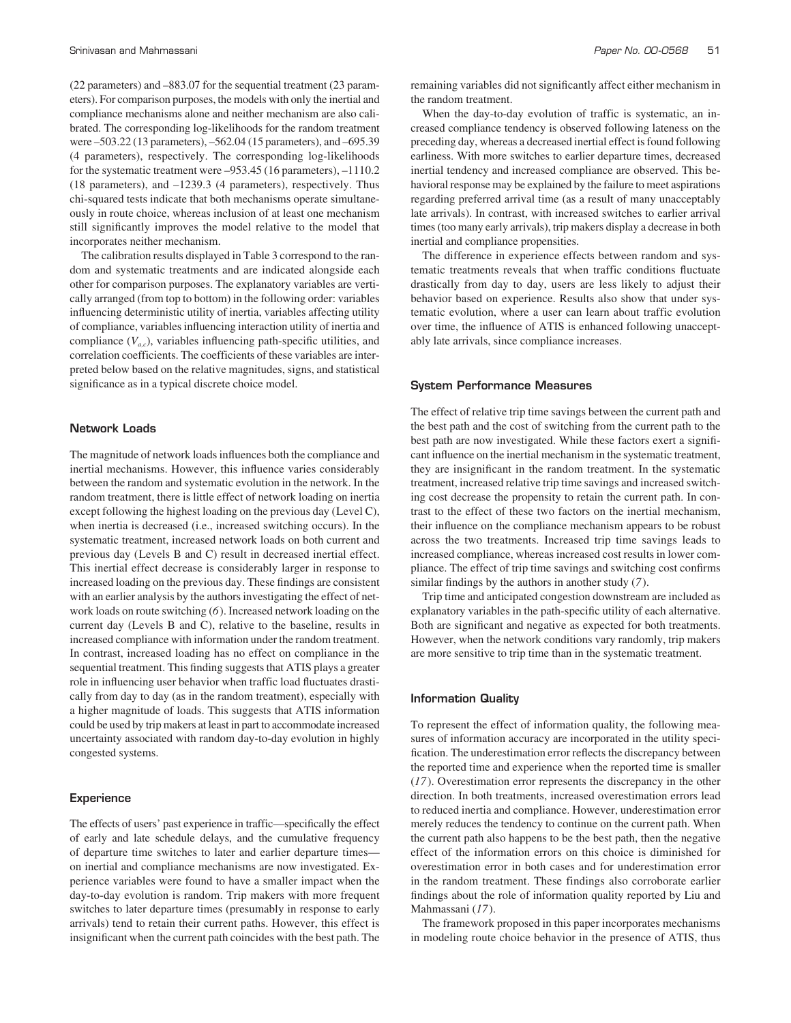(22 parameters) and –883.07 for the sequential treatment (23 parameters). For comparison purposes, the models with only the inertial and compliance mechanisms alone and neither mechanism are also calibrated. The corresponding log-likelihoods for the random treatment were –503.22 (13 parameters), –562.04 (15 parameters), and –695.39 (4 parameters), respectively. The corresponding log-likelihoods for the systematic treatment were –953.45 (16 parameters), –1110.2 (18 parameters), and –1239.3 (4 parameters), respectively. Thus chi-squared tests indicate that both mechanisms operate simultaneously in route choice, whereas inclusion of at least one mechanism still significantly improves the model relative to the model that incorporates neither mechanism.

The calibration results displayed in Table 3 correspond to the random and systematic treatments and are indicated alongside each other for comparison purposes. The explanatory variables are vertically arranged (from top to bottom) in the following order: variables influencing deterministic utility of inertia, variables affecting utility of compliance, variables influencing interaction utility of inertia and compliance  $(V_{ac})$ , variables influencing path-specific utilities, and correlation coefficients. The coefficients of these variables are interpreted below based on the relative magnitudes, signs, and statistical significance as in a typical discrete choice model.

## Network Loads

The magnitude of network loads influences both the compliance and inertial mechanisms. However, this influence varies considerably between the random and systematic evolution in the network. In the random treatment, there is little effect of network loading on inertia except following the highest loading on the previous day (Level C), when inertia is decreased (i.e., increased switching occurs). In the systematic treatment, increased network loads on both current and previous day (Levels B and C) result in decreased inertial effect. This inertial effect decrease is considerably larger in response to increased loading on the previous day. These findings are consistent with an earlier analysis by the authors investigating the effect of network loads on route switching (*6*). Increased network loading on the current day (Levels B and C), relative to the baseline, results in increased compliance with information under the random treatment. In contrast, increased loading has no effect on compliance in the sequential treatment. This finding suggests that ATIS plays a greater role in influencing user behavior when traffic load fluctuates drastically from day to day (as in the random treatment), especially with a higher magnitude of loads. This suggests that ATIS information could be used by trip makers at least in part to accommodate increased uncertainty associated with random day-to-day evolution in highly congested systems.

#### **Experience**

The effects of users' past experience in traffic—specifically the effect of early and late schedule delays, and the cumulative frequency of departure time switches to later and earlier departure times on inertial and compliance mechanisms are now investigated. Experience variables were found to have a smaller impact when the day-to-day evolution is random. Trip makers with more frequent switches to later departure times (presumably in response to early arrivals) tend to retain their current paths. However, this effect is insignificant when the current path coincides with the best path. The remaining variables did not significantly affect either mechanism in the random treatment.

When the day-to-day evolution of traffic is systematic, an increased compliance tendency is observed following lateness on the preceding day, whereas a decreased inertial effect is found following earliness. With more switches to earlier departure times, decreased inertial tendency and increased compliance are observed. This behavioral response may be explained by the failure to meet aspirations regarding preferred arrival time (as a result of many unacceptably late arrivals). In contrast, with increased switches to earlier arrival times (too many early arrivals), trip makers display a decrease in both inertial and compliance propensities.

The difference in experience effects between random and systematic treatments reveals that when traffic conditions fluctuate drastically from day to day, users are less likely to adjust their behavior based on experience. Results also show that under systematic evolution, where a user can learn about traffic evolution over time, the influence of ATIS is enhanced following unacceptably late arrivals, since compliance increases.

#### System Performance Measures

The effect of relative trip time savings between the current path and the best path and the cost of switching from the current path to the best path are now investigated. While these factors exert a significant influence on the inertial mechanism in the systematic treatment, they are insignificant in the random treatment. In the systematic treatment, increased relative trip time savings and increased switching cost decrease the propensity to retain the current path. In contrast to the effect of these two factors on the inertial mechanism, their influence on the compliance mechanism appears to be robust across the two treatments. Increased trip time savings leads to increased compliance, whereas increased cost results in lower compliance. The effect of trip time savings and switching cost confirms similar findings by the authors in another study (*7*).

Trip time and anticipated congestion downstream are included as explanatory variables in the path-specific utility of each alternative. Both are significant and negative as expected for both treatments. However, when the network conditions vary randomly, trip makers are more sensitive to trip time than in the systematic treatment.

#### Information Quality

To represent the effect of information quality, the following measures of information accuracy are incorporated in the utility specification. The underestimation error reflects the discrepancy between the reported time and experience when the reported time is smaller (*17*). Overestimation error represents the discrepancy in the other direction. In both treatments, increased overestimation errors lead to reduced inertia and compliance. However, underestimation error merely reduces the tendency to continue on the current path. When the current path also happens to be the best path, then the negative effect of the information errors on this choice is diminished for overestimation error in both cases and for underestimation error in the random treatment. These findings also corroborate earlier findings about the role of information quality reported by Liu and Mahmassani (*17*).

The framework proposed in this paper incorporates mechanisms in modeling route choice behavior in the presence of ATIS, thus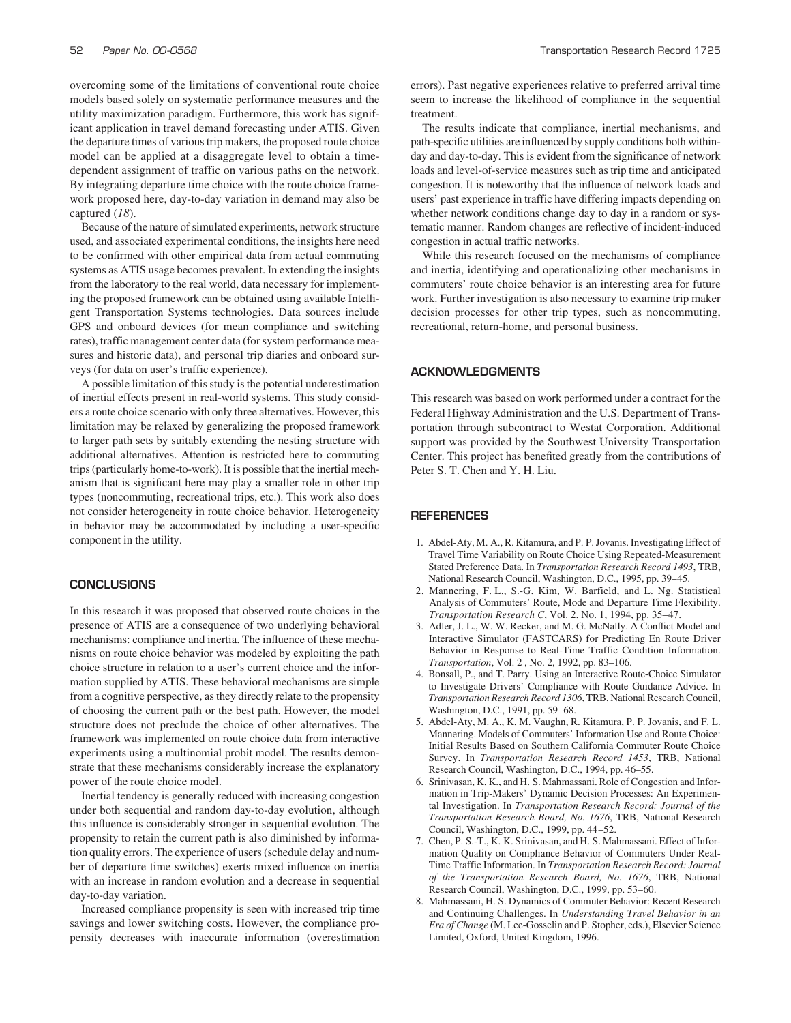overcoming some of the limitations of conventional route choice models based solely on systematic performance measures and the utility maximization paradigm. Furthermore, this work has significant application in travel demand forecasting under ATIS. Given the departure times of various trip makers, the proposed route choice model can be applied at a disaggregate level to obtain a timedependent assignment of traffic on various paths on the network. By integrating departure time choice with the route choice framework proposed here, day-to-day variation in demand may also be captured (*18*).

Because of the nature of simulated experiments, network structure used, and associated experimental conditions, the insights here need to be confirmed with other empirical data from actual commuting systems as ATIS usage becomes prevalent. In extending the insights from the laboratory to the real world, data necessary for implementing the proposed framework can be obtained using available Intelligent Transportation Systems technologies. Data sources include GPS and onboard devices (for mean compliance and switching rates), traffic management center data (for system performance measures and historic data), and personal trip diaries and onboard surveys (for data on user's traffic experience).

A possible limitation of this study is the potential underestimation of inertial effects present in real-world systems. This study considers a route choice scenario with only three alternatives. However, this limitation may be relaxed by generalizing the proposed framework to larger path sets by suitably extending the nesting structure with additional alternatives. Attention is restricted here to commuting trips (particularly home-to-work). It is possible that the inertial mechanism that is significant here may play a smaller role in other trip types (noncommuting, recreational trips, etc.). This work also does not consider heterogeneity in route choice behavior. Heterogeneity in behavior may be accommodated by including a user-specific component in the utility.

#### **CONCLUSIONS**

In this research it was proposed that observed route choices in the presence of ATIS are a consequence of two underlying behavioral mechanisms: compliance and inertia. The influence of these mechanisms on route choice behavior was modeled by exploiting the path choice structure in relation to a user's current choice and the information supplied by ATIS. These behavioral mechanisms are simple from a cognitive perspective, as they directly relate to the propensity of choosing the current path or the best path. However, the model structure does not preclude the choice of other alternatives. The framework was implemented on route choice data from interactive experiments using a multinomial probit model. The results demonstrate that these mechanisms considerably increase the explanatory power of the route choice model.

Inertial tendency is generally reduced with increasing congestion under both sequential and random day-to-day evolution, although this influence is considerably stronger in sequential evolution. The propensity to retain the current path is also diminished by information quality errors. The experience of users (schedule delay and number of departure time switches) exerts mixed influence on inertia with an increase in random evolution and a decrease in sequential day-to-day variation.

Increased compliance propensity is seen with increased trip time savings and lower switching costs. However, the compliance propensity decreases with inaccurate information (overestimation

errors). Past negative experiences relative to preferred arrival time seem to increase the likelihood of compliance in the sequential treatment.

The results indicate that compliance, inertial mechanisms, and path-specific utilities are influenced by supply conditions both withinday and day-to-day. This is evident from the significance of network loads and level-of-service measures such as trip time and anticipated congestion. It is noteworthy that the influence of network loads and users' past experience in traffic have differing impacts depending on whether network conditions change day to day in a random or systematic manner. Random changes are reflective of incident-induced congestion in actual traffic networks.

While this research focused on the mechanisms of compliance and inertia, identifying and operationalizing other mechanisms in commuters' route choice behavior is an interesting area for future work. Further investigation is also necessary to examine trip maker decision processes for other trip types, such as noncommuting, recreational, return-home, and personal business.

## ACKNOWLEDGMENTS

This research was based on work performed under a contract for the Federal Highway Administration and the U.S. Department of Transportation through subcontract to Westat Corporation. Additional support was provided by the Southwest University Transportation Center. This project has benefited greatly from the contributions of Peter S. T. Chen and Y. H. Liu.

# **REFERENCES**

- 1. Abdel-Aty, M. A., R. Kitamura, and P. P. Jovanis. Investigating Effect of Travel Time Variability on Route Choice Using Repeated-Measurement Stated Preference Data. In *Transportation Research Record 1493*, TRB, National Research Council, Washington, D.C., 1995, pp. 39–45.
- 2. Mannering, F. L., S.-G. Kim, W. Barfield, and L. Ng. Statistical Analysis of Commuters' Route, Mode and Departure Time Flexibility. *Transportation Research C*, Vol. 2, No. 1, 1994, pp. 35–47.
- 3. Adler, J. L., W. W. Recker, and M. G. McNally. A Conflict Model and Interactive Simulator (FASTCARS) for Predicting En Route Driver Behavior in Response to Real-Time Traffic Condition Information. *Transportation*, Vol. 2 , No. 2, 1992, pp. 83–106.
- 4. Bonsall, P., and T. Parry. Using an Interactive Route-Choice Simulator to Investigate Drivers' Compliance with Route Guidance Advice. In *Transportation Research Record 1306*, TRB, National Research Council, Washington, D.C., 1991, pp. 59–68.
- 5. Abdel-Aty, M. A., K. M. Vaughn, R. Kitamura, P. P. Jovanis, and F. L. Mannering. Models of Commuters' Information Use and Route Choice: Initial Results Based on Southern California Commuter Route Choice Survey. In *Transportation Research Record 1453*, TRB, National Research Council, Washington, D.C., 1994, pp. 46–55.
- 6. Srinivasan, K. K., and H. S. Mahmassani. Role of Congestion and Information in Trip-Makers' Dynamic Decision Processes: An Experimental Investigation. In *Transportation Research Record: Journal of the Transportation Research Board, No. 1676*, TRB, National Research Council, Washington, D.C., 1999, pp. 44–52.
- 7. Chen, P. S.-T., K. K. Srinivasan, and H. S. Mahmassani. Effect of Information Quality on Compliance Behavior of Commuters Under Real-Time Traffic Information. In *Transportation Research Record: Journal of the Transportation Research Board, No. 1676*, TRB, National Research Council, Washington, D.C., 1999, pp. 53–60.
- 8. Mahmassani, H. S. Dynamics of Commuter Behavior: Recent Research and Continuing Challenges. In *Understanding Travel Behavior in an Era of Change* (M. Lee-Gosselin and P. Stopher, eds.), Elsevier Science Limited, Oxford, United Kingdom, 1996.